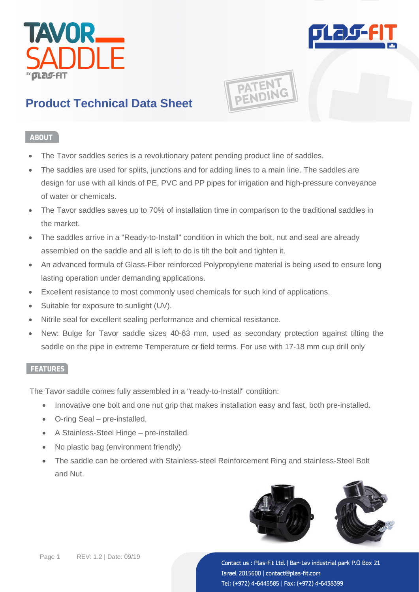



**PATENT** 

# **Product Technical Data Sheet**

### **ABOUT**

- The Tavor saddles series is a revolutionary patent pending product line of saddles.
- The saddles are used for splits, junctions and for adding lines to a main line. The saddles are design for use with all kinds of PE, PVC and PP pipes for irrigation and high-pressure conveyance of water or chemicals.
- The Tavor saddles saves up to 70% of installation time in comparison to the traditional saddles in the market.
- The saddles arrive in a "Ready-to-Install" condition in which the bolt, nut and seal are already assembled on the saddle and all is left to do is tilt the bolt and tighten it.
- An advanced formula of Glass-Fiber reinforced Polypropylene material is being used to ensure long lasting operation under demanding applications.
- Excellent resistance to most commonly used chemicals for such kind of applications.
- Suitable for exposure to sunlight (UV).
- Nitrile seal for excellent sealing performance and chemical resistance.
- New: Bulge for Tavor saddle sizes 40-63 mm, used as secondary protection against tilting the saddle on the pipe in extreme Temperature or field terms. For use with 17-18 mm cup drill only

#### **FEATURES**

The Tavor saddle comes fully assembled in a "ready-to-Install" condition:

- Innovative one bolt and one nut grip that makes installation easy and fast, both pre-installed.
- O-ring Seal pre-installed.
- A Stainless-Steel Hinge pre-installed.
- No plastic bag (environment friendly)
- The saddle can be ordered with Stainless-steel Reinforcement Ring and stainless-Steel Bolt and Nut.

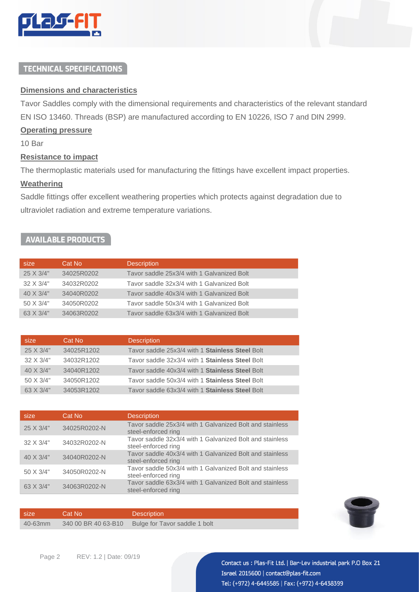

## **TECHNICAL SPECIFICATIONS**

#### **Dimensions and characteristics**

Tavor Saddles comply with the dimensional requirements and characteristics of the relevant standard EN ISO 13460. Threads (BSP) are manufactured according to EN 10226, ISO 7 and DIN 2999.

#### **Operating pressure**

10 Bar

#### **Resistance to impact**

The thermoplastic materials used for manufacturing the fittings have excellent impact properties.

#### **Weathering**

Saddle fittings offer excellent weathering properties which protects against degradation due to ultraviolet radiation and extreme temperature variations.

### **AVAILABLE PRODUCTS**

| size      | Cat No     | <b>Description</b>                         |
|-----------|------------|--------------------------------------------|
| 25 X 3/4" | 34025R0202 | Tavor saddle 25x3/4 with 1 Galvanized Bolt |
| 32 X 3/4" | 34032R0202 | Tavor saddle 32x3/4 with 1 Galvanized Bolt |
| 40 X 3/4" | 34040R0202 | Tavor saddle 40x3/4 with 1 Galvanized Bolt |
| 50 X 3/4" | 34050R0202 | Tavor saddle 50x3/4 with 1 Galvanized Bolt |
| 63 X 3/4" | 34063R0202 | Tavor saddle 63x3/4 with 1 Galvanized Bolt |

| size      | Cat No     | <b>Description</b>                              |
|-----------|------------|-------------------------------------------------|
| 25 X 3/4" | 34025R1202 | Tavor saddle 25x3/4 with 1 Stainless Steel Bolt |
| 32 X 3/4" | 34032R1202 | Tavor saddle 32x3/4 with 1 Stainless Steel Bolt |
| 40 X 3/4" | 34040R1202 | Tavor saddle 40x3/4 with 1 Stainless Steel Bolt |
| 50 X 3/4" | 34050R1202 | Tavor saddle 50x3/4 with 1 Stainless Steel Bolt |
| 63 X 3/4" | 34053R1202 | Tavor saddle 63x3/4 with 1 Stainless Steel Bolt |

| size      | Cat No       | <b>Description</b>                                                              |
|-----------|--------------|---------------------------------------------------------------------------------|
| 25 X 3/4" | 34025R0202-N | Tavor saddle 25x3/4 with 1 Galvanized Bolt and stainless<br>steel-enforced ring |
| 32 X 3/4" | 34032R0202-N | Tavor saddle 32x3/4 with 1 Galvanized Bolt and stainless<br>steel-enforced ring |
| 40 X 3/4" | 34040R0202-N | Tavor saddle 40x3/4 with 1 Galvanized Bolt and stainless<br>steel-enforced ring |
| 50 X 3/4" | 34050R0202-N | Tavor saddle 50x3/4 with 1 Galvanized Bolt and stainless<br>steel-enforced ring |
| 63 X 3/4" | 34063R0202-N | Tavor saddle 63x3/4 with 1 Galvanized Bolt and stainless<br>steel-enforced ring |

size Cat No Description 40-63mm 340 00 BR 40 63-B10 Bulge for Tavor saddle 1 bolt

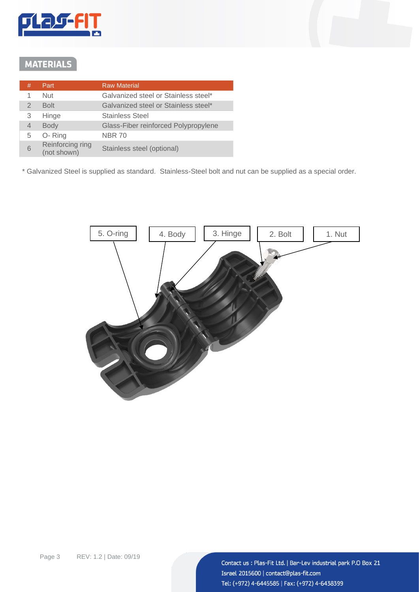

## **MATERIALS**

| # | Part                            | <b>Raw Material</b>                  |
|---|---------------------------------|--------------------------------------|
| 1 | Nut                             | Galvanized steel or Stainless steel* |
| 2 | <b>Bolt</b>                     | Galvanized steel or Stainless steel* |
| 3 | Hinge                           | <b>Stainless Steel</b>               |
| 4 | <b>Body</b>                     | Glass-Fiber reinforced Polypropylene |
| 5 | O-Ring                          | <b>NBR 70</b>                        |
| 6 | Reinforcing ring<br>(not shown) | Stainless steel (optional)           |

\* Galvanized Steel is supplied as standard. Stainless-Steel bolt and nut can be supplied as a special order.